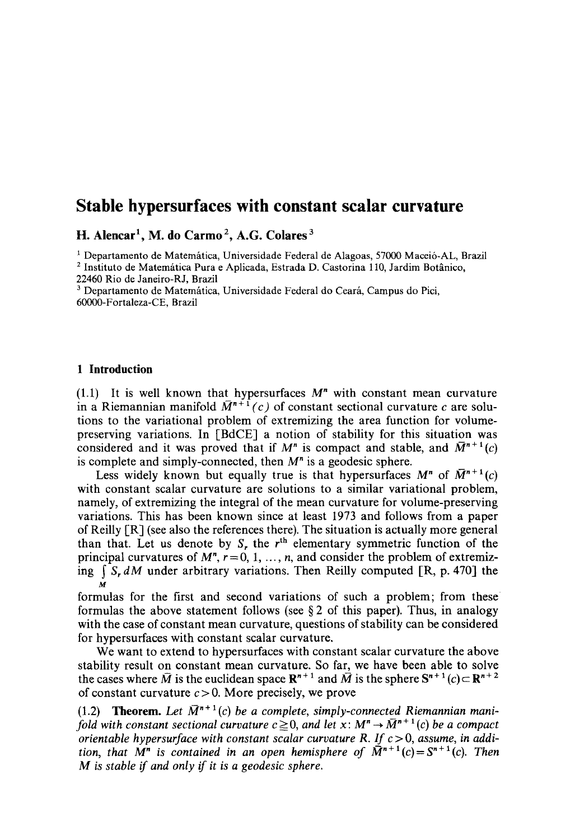# **Stable hypersurfaces with constant scalar curvature**

**H. Aiencar 1, M. do Carmo 2, A.G. Colares 3** 

 $<sup>1</sup>$  Departamento de Matemática, Universidade Federal de Alagoas, 57000 Maceió-AL, Brazil</sup> <sup>2</sup> Instituto de Matemática Pura e Aplicada, Estrada D. Castorina 110, Jardim Botânico,

22460 Rio de Janeiro-RJ, Brazil

<sup>3</sup> Departamento de Matemática, Universidade Federal do Ceará, Campus do Pici, 60000-Fortaleza-CE, Brazil

#### **1 Introduction**

(1.1) It is well known that hypersurfaces  $M<sup>n</sup>$  with constant mean curvature in a Riemannian manifold  $\overline{M}^{n+1}(c)$  of constant sectional curvature c are solutions to the variational problem of extremizing the area function for volumepreserving variations. In [BdCE] a notion of stability for this situation was considered and it was proved that if  $M^n$  is compact and stable, and  $\overline{M}^{n+1}(c)$ is complete and simply-connected, then  $M<sup>n</sup>$  is a geodesic sphere.

Less widely known but equally true is that hypersurfaces  $M^n$  of  $\overline{M}^{n+1}(c)$ with constant scalar curvature are solutions to a similar variational problem, namely, of extremizing the integral of the mean curvature for volume-preserving variations. This has been known since at least 1973 and follows from a paper of Reilly [R] (see also the references there). The situation is actually more general than that. Let us denote by  $S_r$ , the  $r<sup>th</sup>$  elementary symmetric function of the principal curvatures of  $M^n$ ,  $r=0, 1, ..., n$ , and consider the problem of extremizing  $\int S_r dM$  under arbitrary variations. Then Reilly computed [R, p. 470] the **M** 

formulas for the first and second variations of such a problem; from these formulas the above statement follows (see  $\S 2$  of this paper). Thus, in analogy with the case of constant mean curvature, questions of stability can be considered for hypersurfaces with constant scalar curvature.

We want to extend to hypersurfaces with constant scalar curvature the above stability result on constant mean curvature. So far, we have been able to solve the cases where  $\overline{M}$  is the euclidean space  $\mathbb{R}^{n+1}$  and  $\overline{M}$  is the sphere  $\mathbb{S}^{n+1}(c) \subset \mathbb{R}^{n+2}$ of constant curvature  $c > 0$ . More precisely, we prove

(1.2) **Theorem.** Let  $\overline{M}^{n+1}(c)$  be a complete, simply-connected Riemannian mani*fold with constant sectional curvature*  $c \geq 0$ *, and let x:*  $M^n \rightarrow \overline{M}^{n+1}(c)$  be a compact *orientable hypersurface with constant scalar curvature R. If c* > 0, assume, in addi*tion, that*  $M^n$  *is contained in an open hemisphere of*  $\tilde{M}^{n+1}(c) = S^{n+1}(c)$ . Then *M is stable if and only if it is a geodesic sphere.*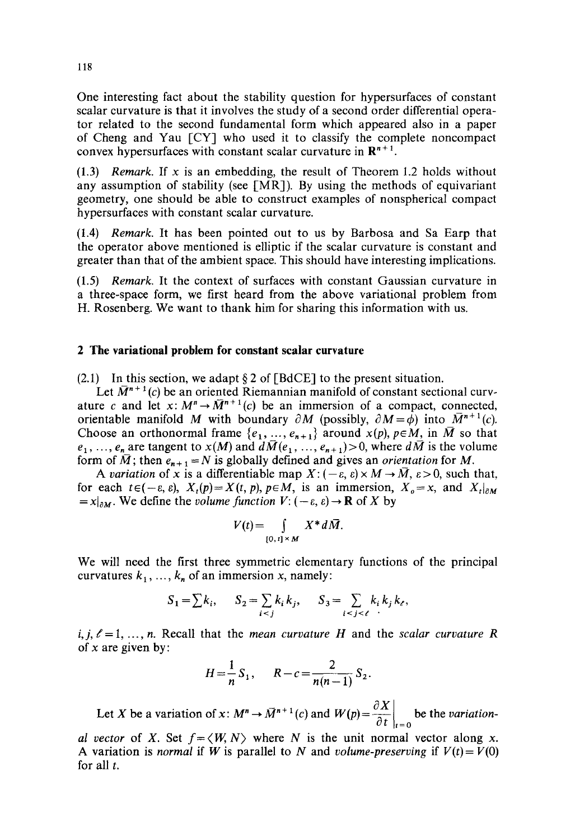One interesting fact about the stability question for hypersurfaces of constant scalar curvature is that it involves the study of a second order differential operator related to the second fundamental form which appeared also in a paper of Cheng and Yau [CY] who used it to classify the complete noncompact convex hypersurfaces with constant scalar curvature in  $\mathbb{R}^{n+1}$ .

 $(1.3)$  *Remark.* If x is an embedding, the result of Theorem 1.2 holds without any assumption of stability (see  $[MR]$ ). By using the methods of equivariant geometry, one should be able to construct examples of nonspherical compact hypersurfaces with constant scalar curvature.

(1.4) *Remark.* It has been pointed out to us by Barbosa and Sa Earp that the operator above mentioned is elliptic if the scalar curvature is constant and greater than that of the ambient space. This should have interesting implications.

(1.5) *Remark.* It the context of surfaces with constant Gaussian curvature in a three-space form, we first heard from the above variational problem from H. Rosenberg. We want to thank him for sharing this information with us.

#### **2 The variational problem for constant scalar curvature**

(2.1) In this section, we adapt  $\S 2$  of [BdCE] to the present situation.

Let  $\overline{M}^{n+1}(c)$  be an oriented Riemannian manifold of constant sectional curvature c and let  $x: M^n \to \overline{M}^{n+1}(c)$  be an immersion of a compact, connected, orientable manifold M with boundary  $\partial M$  (possibly,  $\partial M = \phi$ ) into  $\overline{M}^{n+1}(c)$ . Choose an orthonormal frame  $\{e_1, ..., e_{n+1}\}$  around  $x(p)$ ,  $p \in M$ , in  $\overline{M}$  so that  $e_1, \ldots, e_n$  are tangent to  $x(M)$  and  $d\bar{M}(e_1, \ldots, e_{n+1}) > 0$ , where  $d\bar{M}$  is the volume form of  $\overline{M}$ ; then  $e_{n+1} = N$  is globally defined and gives an *orientation* for M.

*A variation* of x is a differentiable map  $X: (-\varepsilon, \varepsilon) \times M \to \overline{M}, \varepsilon > 0$ , such that, for each  $t \in (-\varepsilon, \varepsilon)$ ,  $X_t(p) = X(t, p)$ ,  $p \in M$ , is an immersion,  $X_o = x$ , and  $X_t|_{\partial M}$  $= x|_{\partial M}$ . We define the *volume function*  $V: (-\varepsilon, \varepsilon) \to \mathbf{R}$  of X by

$$
V(t) = \int_{[0, t] \times M} X^* d\bar{M}.
$$

We will need the first three symmetric elementary functions of the principal curvatures  $k_1, ..., k_n$  of an immersion x, namely:

$$
S_1 = \sum k_i, \qquad S_2 = \sum_{i < j} k_i \, k_j, \qquad S_3 = \sum_{i < j < \ell} k_i \, k_j \, k_\ell,
$$

 $i, j, \ell = 1, \ldots, n$ . Recall that the *mean curvature H* and the *scalar curvature R* of  $x$  are given by:

$$
H = \frac{1}{n} S_1, \qquad R - c = \frac{2}{n(n-1)} S_2.
$$

Let X be a variation of x:  $M^n \to \bar{M}^{n+1}(c)$  and  $W(p) = \frac{\partial X}{\partial t}\Big|_{t=0}$  be the *variation*-

*al vector* of X. Set  $f = \langle W, N \rangle$  where N is the unit normal vector along x. A variation is *normal* if *W* is parallel to *N* and *volume-preserving* if  $V(t) = V(0)$ for all  $t$ .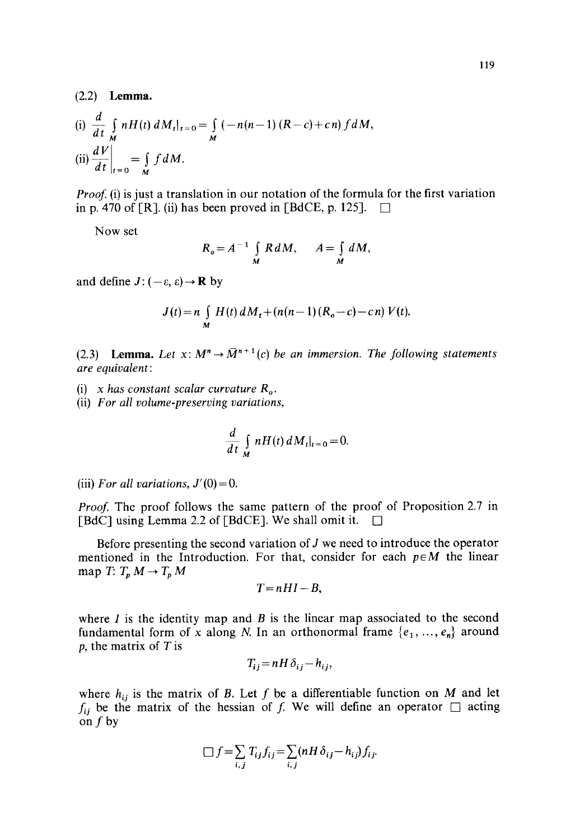**(2.2) Lemma.** 

(i) 
$$
\frac{d}{dt} \int_{M} nH(t) dM_t|_{t=0} = \int_{M} (-n(n-1) (R-c) + cn) f dM,
$$
  
\n(ii)  $\frac{dV}{dt}|_{t=0} = \int_{M} f dM.$ 

*Proof.* (i) is just a translation in our notation of the formula for the first variation in p. 470 of [R]. (ii) has been proved in [BdCE, p. 125].  $\Box$ 

Now set

$$
R_o = A^{-1} \int\limits_M R \, dM, \qquad A = \int\limits_M dM,
$$

and define  $J: (-\varepsilon, \varepsilon) \rightarrow \mathbf{R}$  by

$$
J(t) = n \int_{M} H(t) dM_{t} + (n(n-1) (R_{o} - c) - c n) V(t).
$$

(2.3) **Lemma.** Let  $x: M^n \to \overline{M}^{n+1}(c)$  be an immersion. The following statements *are equivalent:* 

- (i)  $x$  has constant scalar curvature  $R<sub>o</sub>$ .
- (ii) *For all volume-preserving variations,*

$$
\frac{d}{dt}\int\limits_{M}nH(t)\,dM_t|_{t=0}=0.
$$

(iii) For all variations,  $J'(0)=0$ .

*Proof.* The proof follows the same pattern of the proof of Proposition 2.7 in [BdC] using Lemma 2.2 of [BdCE]. We shall omit it.  $\Box$ 

Before presenting the second variation of  $J$  we need to introduce the operator mentioned in the Introduction. For that, consider for each  $p \in M$  the linear map  $T: T_p M \to T_p M$ 

$$
T=nHI-B,
$$

where  $I$  is the identity map and  $B$  is the linear map associated to the second fundamental form of x along N. In an orthonormal frame  $\{e_1, ..., e_n\}$  around  $p$ , the matrix of T is

$$
T_{ij} = nH\,\delta_{ij} - h_{ij},
$$

where  $h_{ij}$  is the matrix of B. Let f be a differentiable function on M and let  $f_{ij}$  be the matrix of the hessian of f. We will define an operator  $\Box$  acting on  $f$  by

$$
\Box f = \sum_{i,j} T_{ij} f_{ij} = \sum_{i,j} (nH \delta_{ij} - h_{ij}) f_{ij}.
$$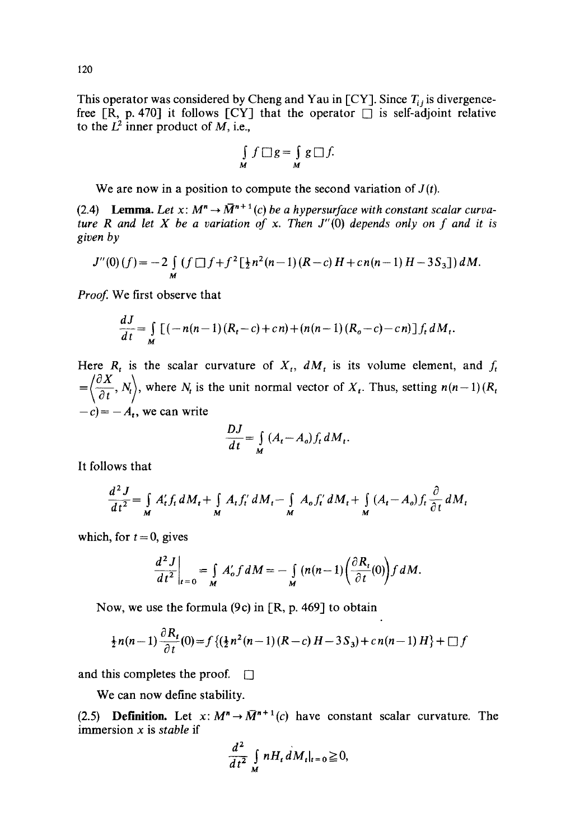This operator was considered by Cheng and Yau in [CY]. Since  $T_i$  is divergencefree [R, p. 470] it follows [CY] that the operator  $\Box$  is self-adjoint relative to the  $L^2$  inner product of  $M$ , i.e.,

$$
\int_{M} f \Box g = \int_{M} g \Box f.
$$

We are now in a position to compute the second variation of  $J(t)$ .

(2.4) **Lemma.** Let  $x: M^n \to \overline{M}^{n+1}(c)$  be a hypersurface with constant scalar curva*ture R and let X be a variation of x. Then J"(O) depends only on f and it is given by* 

$$
J''(0)(f) = -2 \int_{M} (f \Box f + f^{2} \left[ \frac{1}{2} n^{2} (n-1) (R-c) H + cn(n-1) H - 3S_{3} \right] dM.
$$

Proof. We first observe that

$$
\frac{dJ}{dt} = \int_{M} [(-n(n-1)(R_t - c) + cn) + (n(n-1)(R_o - c) - cn)] f_t dM_t.
$$

Here  $R_t$  is the scalar curvature of  $X_t$ ,  $dM_t$  is its volume element, and  $f_t$  $=\left\langle \frac{\partial X}{\partial t}, N_t \right\rangle$ , where  $N_t$  is the unit normal vector of  $X_t$ . Thus, setting  $n(n-1)(R_t)$  $-c$ ) =  $-A_t$ , we can write

$$
\frac{DJ}{dt} = \int\limits_M (A_t - A_o) f_t \, dM_t.
$$

It follows that

$$
\frac{d^2 J}{dt^2} = \int\limits_M A'_t f_t dM_t + \int\limits_M A_t f'_t dM_t - \int\limits_M A_0 f'_t dM_t + \int\limits_M (A_t - A_0) f_t \frac{\partial}{\partial t} dM_t
$$

which, for  $t = 0$ , gives

$$
\frac{d^2 J}{dt^2}\bigg|_{t=0} = \int\limits_M A'_o f dM = - \int\limits_M (n(n-1) \left( \frac{\partial R_t}{\partial t}(0) \right) f dM.
$$

Now, we use the formula  $(9c)$  in [R, p. 469] to obtain

$$
\frac{1}{2}n(n-1)\frac{\partial R_t}{\partial t}(0) = f\left\{(\frac{1}{2}n^2(n-1)(R-c)H - 3S_3) + cn(n-1)H\right\} + \Box f
$$

and this completes the proof.  $\Box$ 

We can now define stability.

(2.5) **Definition.** Let  $x: M^n \to M^{n+1}(c)$  have constant scalar curvature. The immersion x is *stable* if

$$
\frac{d^2}{dt^2} \int\limits_{M} nH_t \, dM_t|_{t=0} \geqq 0,
$$

120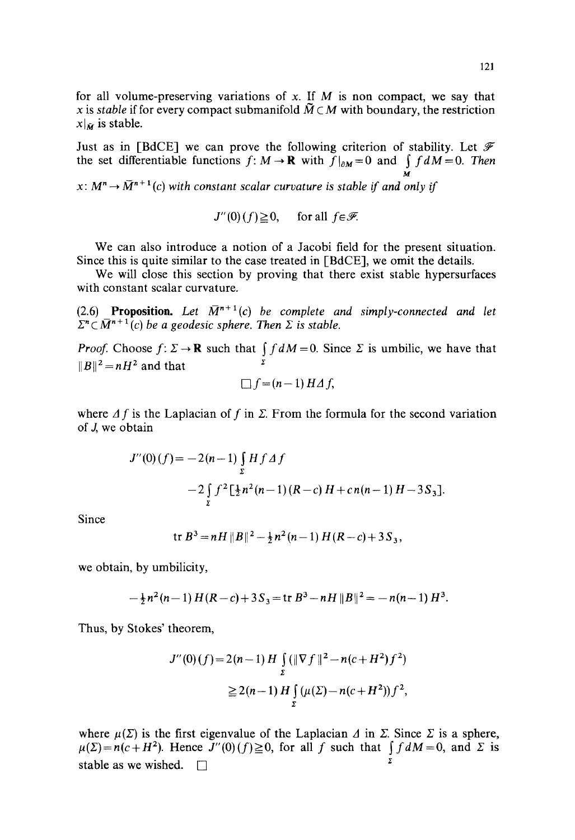Just as in [BdCE] we can prove the following criterion of stability. Let  $\mathscr F$ the set differentiable functions  $f: M \to \mathbb{R}$  with  $f|_{\partial M}=0$  and  $\int f dM=0$ . Then ŭ

 $x: M^n \to \tilde{M}^{n+1}(c)$  with constant scalar curvature is stable if and only if

$$
J''(0)(f) \ge 0, \quad \text{ for all } f \in \mathscr{F}.
$$

We can also introduce a notion of a Jacobi field for the present situation. Since this is quite similar to the case treated in [BdCE], we omit the details.

We will close this section by proving that there exist stable hypersurfaces with constant scalar curvature.

(2.6) **Proposition.** Let  $\overline{M}^{n+1}(c)$  be complete and simply-connected and let  $\sum_{n \in \mathbb{N}} \overline{M}^{n+1}(c)$  be a geodesic sphere. Then  $\Sigma$  is stable.

*Proof.* Choose  $f: \Sigma \to \mathbb{R}$  such that  $\int f dM = 0$ . Since  $\Sigma$  is umbilic, we have that  $||B||^2 = nH^2$  and that

$$
\Box f = (n-1) H \Delta f,
$$

where  $\Delta f$  is the Laplacian of f in  $\Sigma$ . From the formula for the second variation of  $J$ , we obtain

$$
J''(0)(f) = -2(n-1)\int_{\Sigma} H f \Delta f
$$
  
-2\int\_{\Sigma} f^2 \left[\frac{1}{2}n^2(n-1)(R-c) H + cn(n-1) H - 3S\_3\right].

Since

$$
\text{tr } B^3 = nH ||B||^2 - \frac{1}{2}n^2(n-1) H(R-c) + 3S_3,
$$

we obtain, by umbilicity,

$$
-\frac{1}{2}n^2(n-1) H(R-c) + 3S_3 = \text{tr } B^3 - nH ||B||^2 = -n(n-1) H^3.
$$

Thus, by Stokes' theorem,

$$
J''(0)(f) = 2(n-1) H \int_{\Sigma} (\|\nabla f\|^2 - n(c + H^2) f^2)
$$
  
\n
$$
\geq 2(n-1) H \int_{\Sigma} (\mu(\Sigma) - n(c + H^2)) f^2,
$$

where  $\mu(\Sigma)$  is the first eigenvalue of the Laplacian A in  $\Sigma$ . Since  $\Sigma$  is a sphere,  $\mu(\Sigma) = n(c+H^2)$ . Hence  $J''(0)(f) \ge 0$ , for all f such that  $\int f dM = 0$ , and  $\Sigma$  is stable as we wished.  $\square$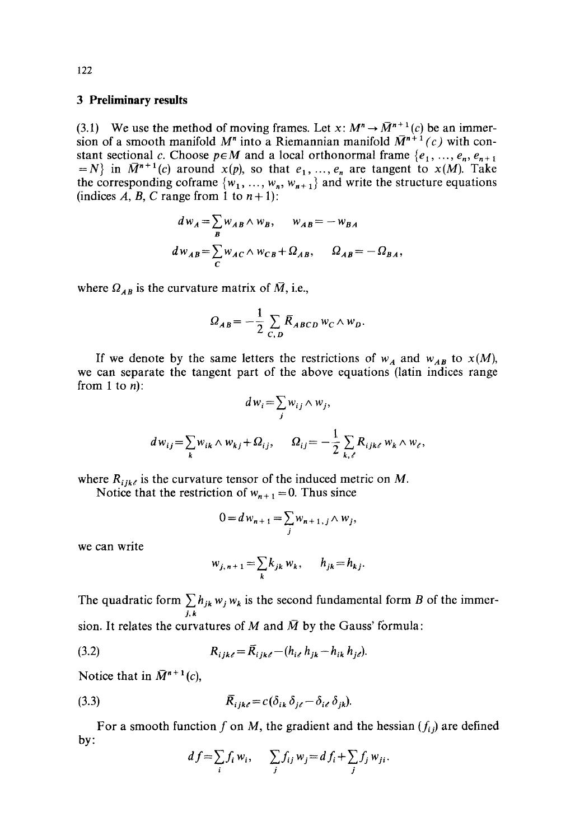### **3 Preliminary results**

(3.1) We use the method of moving frames. Let  $x: M^n \to \overline{M}^{n+1}(c)$  be an immersion of a smooth manifold  $M^n$  into a Riemannian manifold  $\overline{M}^{n+1}(c)$  with constant sectional c. Choose  $p \in M$  and a local orthonormal frame  $\{e_1, ..., e_n, e_{n+1}\}$  $N$  in  $\overline{M}^{n+1}(c)$  around  $x(p)$ , so that  $e_1, ..., e_n$  are tangent to  $x(M)$ . Take the corresponding coframe  $\{w_1, \ldots, w_n, w_{n+1}\}\$  and write the structure equations (indices A, B, C range from 1 to  $n+1$ ):

$$
d w_A = \sum_B w_{AB} \wedge w_B, \qquad w_{AB} = -w_{BA}
$$
  

$$
d w_{AB} = \sum_C w_{AC} \wedge w_{CB} + \Omega_{AB}, \qquad \Omega_{AB} = -\Omega_{BA},
$$

where  $\Omega_{AB}$  is the curvature matrix of  $\overline{M}$ , i.e.,

$$
\Omega_{AB} = -\frac{1}{2} \sum_{C,D} \overline{R}_{ABCD} w_C \wedge w_D.
$$

If we denote by the same letters the restrictions of  $w_A$  and  $w_{AB}$  to  $x(M)$ , we can separate the tangent part of the above equations (latin indices range from 1 to  $n$ :

$$
d w_i = \sum_j w_{ij} \wedge w_j,
$$
  

$$
d w_{ij} = \sum_k w_{ik} \wedge w_{kj} + \Omega_{ij}, \qquad \Omega_{ij} = -\frac{1}{2} \sum_{k,\ell} R_{ijk\ell} w_k \wedge w_{\ell},
$$

where  $R_{ijk\ell}$  is the curvature tensor of the induced metric on M.

Notice that the restriction of  $w_{n+1} = 0$ . Thus since

$$
0 = d w_{n+1} = \sum_j w_{n+1, j} \wedge w_j,
$$

we can write

$$
w_{j,n+1} = \sum_k k_{jk} w_k, \qquad h_{jk} = h_{kj}.
$$

The quadratic form  $\sum h_{jk} w_j w_k$  is the second fundamental form B of the immer*j,k*  sion. It relates the curvatures of M and  $\overline{M}$  by the Gauss' formula:

(3.2) 
$$
R_{ijk\ell} = \bar{R}_{ijk\ell} - (h_{i\ell} h_{jk} - h_{ik} h_{j\ell}).
$$

Notice that in  $\overline{M}^{n+1}(c)$ ,

(3.3) 
$$
\overline{R}_{ijk\ell} = c(\delta_{ik}\delta_{j\ell} - \delta_{i\ell}\delta_{jk}).
$$

by: For a smooth function f on M, the gradient and the hessian  $(f_i)$  are defined

$$
df = \sum_{i} f_i w_i, \qquad \sum_{j} f_{ij} w_j = df_i + \sum_{j} f_j w_{ji}.
$$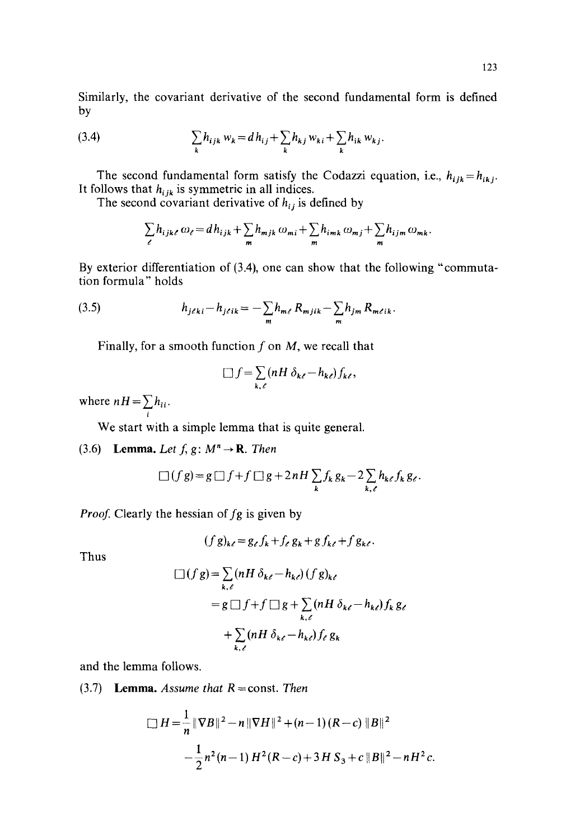Similarly, the covariant derivative of the second fundamental form is defined by

(3.4) 
$$
\sum_{k} h_{ijk} w_k = d h_{ij} + \sum_{k} h_{kj} w_{ki} + \sum_{k} h_{ik} w_{kj}.
$$

The second fundamental form satisfy the Codazzi equation, i.e.,  $h_{ijk}=h_{ikj}$ . It follows that  $h_{ijk}$  is symmetric in all indices.

The second covariant derivative of  $h_{ij}$  is defined by

$$
\sum_{\ell} h_{ijk\ell} \omega_{\ell} = dh_{ijk} + \sum_{m} h_{mjk} \omega_{mi} + \sum_{m} h_{imk} \omega_{mj} + \sum_{m} h_{ijm} \omega_{mk}.
$$

By exterior differentiation of (3.4), one can show that the following "commutation formula" holds

(3.5) 
$$
h_{j\ell ki} - h_{j\ell ik} = -\sum_{m} h_{m\ell} R_{mjik} - \sum_{m} h_{jm} R_{m\ell ik}.
$$

Finally, for a smooth function  $f$  on  $M$ , we recall that

$$
\Box f = \sum_{k,\ell} (nH \, \delta_{k\ell} - h_{k\ell}) f_{k\ell},
$$

where  $nH = \sum h_{ii}$ . i

We start with a simple lemma that is quite general.

(3.6) Lemma. *Let*  $f$ ,  $g$ :  $M^n \rightarrow \mathbb{R}$ . *Then* 

$$
\Box(f\,g) = g\,\Box\,f + f\,\Box\,g + 2\,nH\,\sum_k f_k\,g_k - 2\sum_{k,\ell} h_{k\ell}\,f_k\,g_{\ell}.
$$

*Proof.* Clearly the hessian of fg is given by

$$
(fg)_{k\ell}=g_{\ell}f_k+f_{\ell}g_k+gf_{k\ell}+fg_{k\ell}.
$$

Thus

$$
\Box (f g) = \sum_{k,\ell} (n H \, \delta_{k\ell} - h_{k\ell}) (f g)_{k\ell}
$$
  
=  $g \Box f + f \Box g + \sum_{k,\ell} (n H \, \delta_{k\ell} - h_{k\ell}) f_k g_{\ell}$   
+  $\sum_{k,\ell} (n H \, \delta_{k\ell} - h_{k\ell}) f_{\ell} g_k$ 

and the lemma follows.

 $(3.7)$  **Lemma.** Assume that  $R = const$ . Then

$$
\Box H = \frac{1}{n} \|\nabla B\|^2 - n \|\nabla H\|^2 + (n-1)(R-c) \|B\|^2
$$
  
 
$$
- \frac{1}{2} n^2 (n-1) H^2 (R-c) + 3H S_3 + c \|B\|^2 - nH^2 c.
$$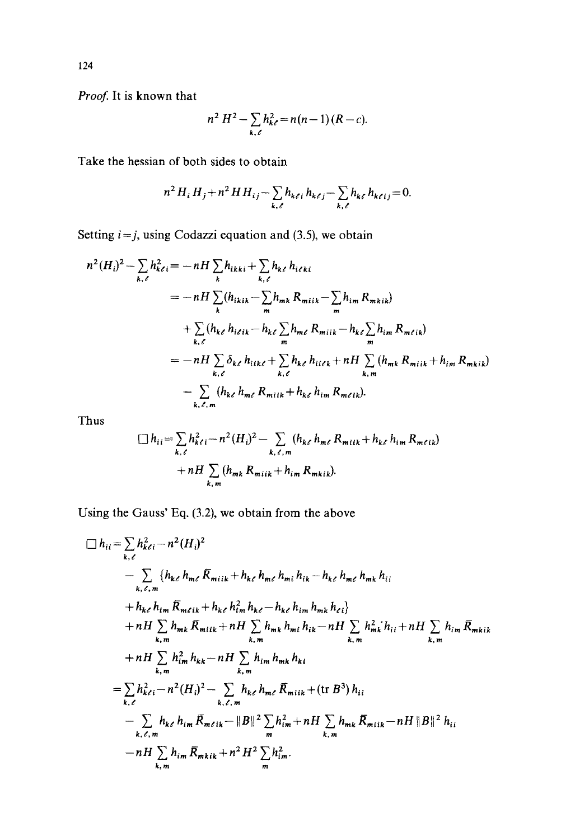*Proof.* **It is known that** 

$$
n^2 H^2 - \sum_{k,\ell} h_{k\ell}^2 = n(n-1)(R - c).
$$

**Take the hessian of both sides to obtain** 

$$
n^2 H_i H_j + n^2 H H_{ij} - \sum_{k,\ell} h_{k\ell i} h_{k\ell j} - \sum_{k,\ell} h_{k\ell} h_{k\ell ij} = 0.
$$

Setting  $i=j$ , using Codazzi equation and (3.5), we obtain

$$
n^{2} (H_{i})^{2} - \sum_{k,\ell} h_{k\ell i}^{2} = -nH \sum_{k} h_{ikki} + \sum_{k,\ell} h_{k\ell} h_{i\ell ki}
$$
  
\n
$$
= -nH \sum_{k} (h_{ikik} - \sum_{m} h_{mk} R_{miik} - \sum_{m} h_{im} R_{mkik})
$$
  
\n
$$
+ \sum_{k,\ell} (h_{k\ell} h_{i\ell ik} - h_{k\ell} \sum_{m} h_{m\ell} R_{miik} - h_{k\ell} \sum_{m} h_{im} R_{m\ell ik})
$$
  
\n
$$
= -nH \sum_{k,\ell} \delta_{k\ell} h_{iik\ell} + \sum_{k,\ell} h_{k\ell} h_{i\ell\ell k} + nH \sum_{k,m} (h_{mk} R_{miik} + h_{im} R_{mkik})
$$
  
\n
$$
- \sum_{k,\ell,m} (h_{k\ell} h_{m\ell} R_{miik} + h_{k\ell} h_{im} R_{m\ell ik}).
$$

**Thus** 

$$
\Box h_{ii} = \sum_{k,\ell} h_{k\ell i}^2 - n^2 (H_i)^2 - \sum_{k,\ell,m} (h_{k\ell} h_{m\ell} R_{mijk} + h_{k\ell} h_{im} R_{m\ell ik})
$$
  
+  $nH \sum_{k,m} (h_{mk} R_{mijk} + h_{im} R_{mkik}).$ 

**Using the Gauss' Eq. (3.2), we obtain from the above** 

$$
\begin{split}\n\Box h_{ii} &= \sum_{k,\ell} h_{k\ell}^2 - n^2 (H_i)^2 \\
&= \sum_{k,\ell,m} \{h_{k\ell} h_{m\ell} \bar{R}_{mik} + h_{k\ell} h_{m\ell} h_{mi} h_{ik} - h_{k\ell} h_{m\ell} h_{mk} h_{ii} \\
&+ h_{k\ell} h_{im} \bar{R}_{m\ell ik} + h_{k\ell} h_{im}^2 h_{k\ell} - h_{k\ell} h_{im} h_{mk} h_{\ell i} \\
&+ nH \sum_{k,m} h_{mk} \bar{R}_{miik} + nH \sum_{k,m} h_{mk} h_{mi} h_{ik} - nH \sum_{k,m} h_{mk}^2 h_{ii} + nH \sum_{k,m} h_{im} \bar{R}_{mkik} \\
&+ nH \sum_{k,m} h_{im}^2 h_{kk} - nH \sum_{k,m} h_{im} h_{mk} h_{ki} \\
&= \sum_{k,\ell} h_{k\ell i}^2 - n^2 (H_i)^2 - \sum_{k,\ell,m} h_{k\ell} h_{m\ell} \bar{R}_{miik} + (\text{tr } B^3) h_{ii} \\
&- \sum_{k,\ell,m} h_{k\ell} h_{im} \bar{R}_{m\ell ik} - \|B\|^2 \sum_{k,m} h_{im}^2 h_{im} + nH \sum_{k,m} h_{mk} \bar{R}_{miik} - nH \|B\|^2 h_{ii} \\
&- nH \sum_{k,m} h_{im} \bar{R}_{mkik} + n^2 H^2 \sum_{m} h_{im}^2.\n\end{split}
$$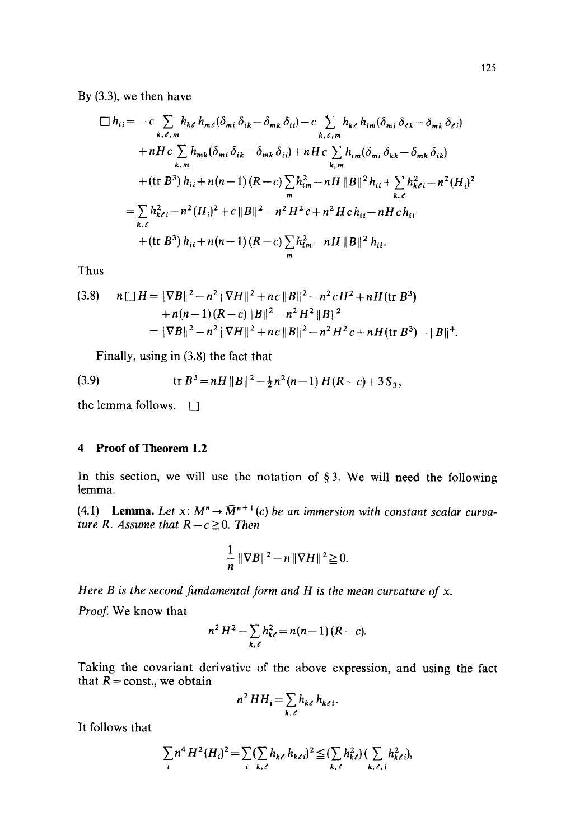By (3.3), we then have

$$
\Box h_{ii} = -c \sum_{k,\ell,m} h_{k\ell} h_{m\ell} (\delta_{mi} \delta_{ik} - \delta_{mk} \delta_{ii}) - c \sum_{k,\ell,m} h_{k\ell} h_{im} (\delta_{mi} \delta_{\ell k} - \delta_{mk} \delta_{\ell i})
$$
  
+ nH c  $\sum_{k,m} h_{mk} (\delta_{mi} \delta_{ik} - \delta_{mk} \delta_{ii}) + nH c \sum_{k,m} h_{im} (\delta_{mi} \delta_{kk} - \delta_{mk} \delta_{ik})$   
+ (tr  $B^3) h_{ii} + n(n-1) (R - c) \sum_{m} h_{im}^2 - nH ||B||^2 h_{ii} + \sum_{k,\ell} h_{k\ell i}^2 - n^2 (H_i)^2$   
=  $\sum_{k,\ell} h_{k\ell i}^2 - n^2 (H_i)^2 + c ||B||^2 - n^2 H^2 c + n^2 H c h_{ii} - nH c h_{ii}$   
+ (tr  $B^3) h_{ii} + n(n-1) (R - c) \sum_{m} h_{im}^2 - nH ||B||^2 h_{ii}$ .

Thus

(3.8) 
$$
n \Box H = \Vert \nabla B \Vert^2 - n^2 \Vert \nabla H \Vert^2 + nc \Vert B \Vert^2 - n^2 c H^2 + n H \text{ (tr } B^3) + n(n-1) (R-c) \Vert B \Vert^2 - n^2 H^2 \Vert B \Vert^2 = \Vert \nabla B \Vert^2 - n^2 \Vert \nabla H \Vert^2 + nc \Vert B \Vert^2 - n^2 H^2 c + n H \text{ (tr } B^3) - \Vert B \Vert^4.
$$

Finally, using in (3.8) the fact that

(3.9) 
$$
\operatorname{tr} B^3 = nH ||B||^2 - \frac{1}{2}n^2(n-1) H(R-c) + 3S_3,
$$

the lemma follows.  $\Box$ 

## **4 Proof of Theorem 1.2**

In this section, we will use the notation of  $\S 3$ . We will need the following lemma.

(4.1) Lemma. Let  $x: M^n \to \bar{M}^{n+1}(c)$  be an immersion with constant scalar curva*ture R. Assume that*  $R - c \geq 0$ *. Then* 

$$
\frac{1}{n}\|\nabla B\|^2 - n\|\nabla H\|^2 \geq 0.
$$

*Here B is the second fundamental form and H is the mean curvature of x.* 

*Proof.* We know that

$$
n^2 H^2 - \sum_{k,\ell} h_{k\ell}^2 = n(n-1) (R - c).
$$

Taking the covariant derivative of the above expression, and using the fact that  $R = \text{const.}$ , we obtain

$$
n^2 HH_i = \sum_{k,\ell} h_{k\ell} h_{k\ell i}.
$$

It follows that

$$
\sum_{i} n^4 H^2(H_i)^2 = \sum_{i} (\sum_{k,\ell} h_{k\ell} h_{k\ell i})^2 \leqq (\sum_{k,\ell} h_{k\ell}^2) (\sum_{k,\ell,i} h_{k\ell i}^2),
$$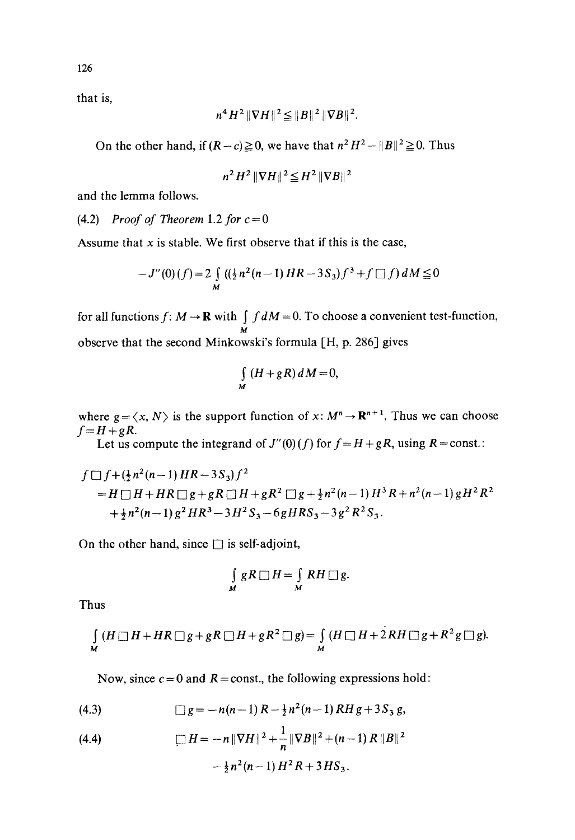that is,

$$
n^4 H^2 ||\nabla H||^2 \leq ||B||^2 ||\nabla B||^2.
$$

On the other hand, if  $(R-c) \ge 0$ , we have that  $n^2H^2 - ||B||^2 \ge 0$ . Thus

$$
n^2 H^2 \|\nabla H\|^2 \leq H^2 \|\nabla B\|^2
$$

and the lemma follows.

 $(4.2)$  *Proof of Theorem 1.2 for*  $c = 0$ 

Assume that  $x$  is stable. We first observe that if this is the case,

$$
-J''(0)(f) = 2 \int_{M} ((\frac{1}{2}n^2(n-1) HR - 3S_3)f^3 + f \Box f) dM \le 0
$$

for all functions  $f: M \to \mathbf{R}$  with  $\int f dM = 0$ . To choose a convenient test-function,  $\boldsymbol{M}$ observe that the second Minkowski's formula [H, p. 286] gives

$$
\int\limits_M (H+gR)\,dM=0,
$$

where  $g = \langle x, N \rangle$  is the support function of  $x: M^n \to \mathbb{R}^{n+1}$ . Thus we can choose  $f = H + gR$ .

Let us compute the integrand of  $J''(0)(f)$  for  $f = H + gR$ , using  $R = \text{const.}$ :

$$
f \Box f + (\frac{1}{2}n^2(n-1) HR - 3S_3)f^2
$$
  
=  $H \Box H + HR \Box g + gR \Box H + gR^2 \Box g + \frac{1}{2}n^2(n-1) H^3 R + n^2(n-1) gH^2 R^2$   
+  $\frac{1}{2}n^2(n-1) g^2 HR^3 - 3H^2 S_3 - 6gHRS_3 - 3g^2 R^2 S_3.$ 

On the other hand, since  $\Box$  is self-adjoint,

$$
\int\limits_M gR \,\Box\, H = \int\limits_M RH \,\Box\, g.
$$

Thus

$$
\int_{M} (H \square H + HR \square g + gR \square H + gR^{2} \square g) = \int_{M} (H \square H + 2RH \square g + R^{2}g \square g).
$$

Now, since  $c = 0$  and  $R = const.$ , the following expressions hold:

(4.3) 
$$
\Box g = -n(n-1)R - \frac{1}{2}n^2(n-1)RHg + 3S_3 g,
$$

(4.4) 
$$
\Box H = -n \|\nabla H\|^2 + \frac{1}{n} \|\nabla B\|^2 + (n-1) R \|B\|^2
$$

$$
-\frac{1}{2} n^2 (n-1) H^2 R + 3 H S_3.
$$

126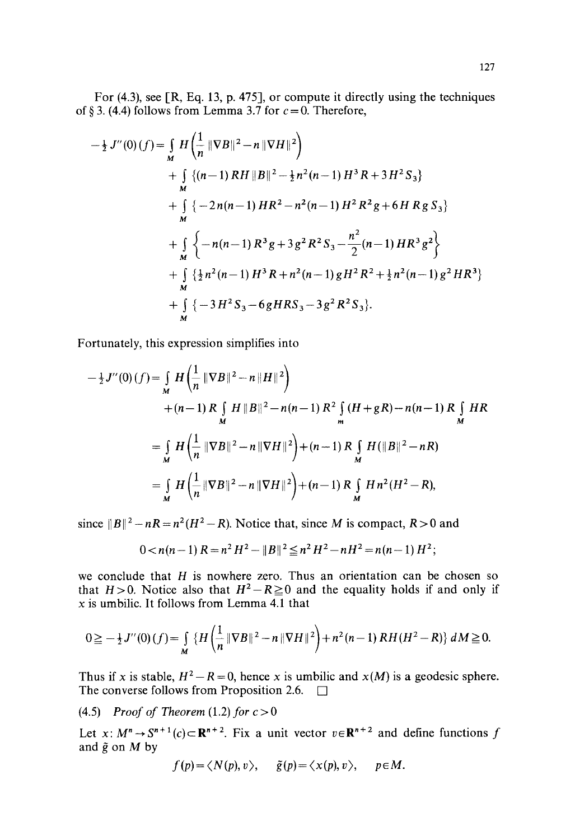For (4.3), see [R, Eq. 13, p. 475], or compute it directly using the techniques of § 3. (4.4) follows from Lemma 3.7 for  $c = 0$ . Therefore,

$$
-\frac{1}{2} J''(0)(f) = \int_{M} H \left( \frac{1}{n} \|\nabla B\|^{2} - n \|\nabla H\|^{2} \right)
$$
  
+ 
$$
\int_{M} \left\{ (n-1) RH \|B\|^{2} - \frac{1}{2}n^{2}(n-1) H^{3} R + 3 H^{2} S_{3} \right\}
$$
  
+ 
$$
\int_{M} \left\{ -2n(n-1) HR^{2} - n^{2}(n-1) H^{2} R^{2} g + 6 H R g S_{3} \right\}
$$
  
+ 
$$
\int_{M} \left\{ -n(n-1) R^{3} g + 3 g^{2} R^{2} S_{3} - \frac{n^{2}}{2} (n-1) HR^{3} g^{2} \right\}
$$
  
+ 
$$
\int_{M} \left\{ \frac{1}{2}n^{2}(n-1) H^{3} R + n^{2}(n-1) g H^{2} R^{2} + \frac{1}{2}n^{2}(n-1) g^{2} HR^{3} \right\}
$$
  
+ 
$$
\int_{M} \left\{ -3 H^{2} S_{3} - 6 g HR S_{3} - 3 g^{2} R^{2} S_{3} \right\}.
$$

Fortunately, this expression simplifies into

$$
-\frac{1}{2}J''(0)(f) = \int_{M} H\left(\frac{1}{n} \|\nabla B\|^{2} - n\|H\|^{2}\right) + (n-1) R \int_{M} H \|B\|^{2} - n(n-1) R^{2} \int_{m} (H + gR) - n(n-1) R \int_{M} HR = \int_{M} H\left(\frac{1}{n} \|\nabla B\|^{2} - n\|\nabla H\|^{2}\right) + (n-1) R \int_{M} H(\|B\|^{2} - nR) = \int_{M} H\left(\frac{1}{n} \|\nabla B\|^{2} - n\|\nabla H\|^{2}\right) + (n-1) R \int_{M} H n^{2} (H^{2} - R),
$$

since  $||B||^2 - nR = n^2(H^2 - R)$ . Notice that, since M is compact,  $R > 0$  and

$$
0 < n(n-1) \, R = n^2 \, H^2 - \|B\|^2 \leq n^2 \, H^2 - n \, H^2 = n(n-1) \, H^2;
$$

we conclude that  $H$  is nowhere zero. Thus an orientation can be chosen so that  $H>0$ . Notice also that  $H^2-R\geq 0$  and the equality holds if and only if x is umbilic. It follows from Lemma 4.1 that

$$
0 \geqq -\frac{1}{2}J''(0)(f) = \int_{M} \left\{ H\left(\frac{1}{n} \|\nabla B\|^{2} - n \|\nabla H\|^{2}\right) + n^{2}(n-1) RH(H^{2} - R) \right\} dM \geqq 0.
$$

Thus if x is stable,  $H^2 - R = 0$ , hence x is umbilic and  $x(M)$  is a geodesic sphere. The converse follows from Proposition 2.6.  $\Box$ 

(4.5) *Proof of Theorem* (1.2) *for*  $c > 0$ 

Let x:  $M^n \rightarrow S^{n+1}(c) \subset \mathbb{R}^{n+2}$ . Fix a unit vector  $v \in \mathbb{R}^{n+2}$  and define functions f and  $\tilde{g}$  on  $M$  by

$$
f(p) = \langle N(p), v \rangle
$$
,  $\tilde{g}(p) = \langle x(p), v \rangle$ ,  $p \in M$ .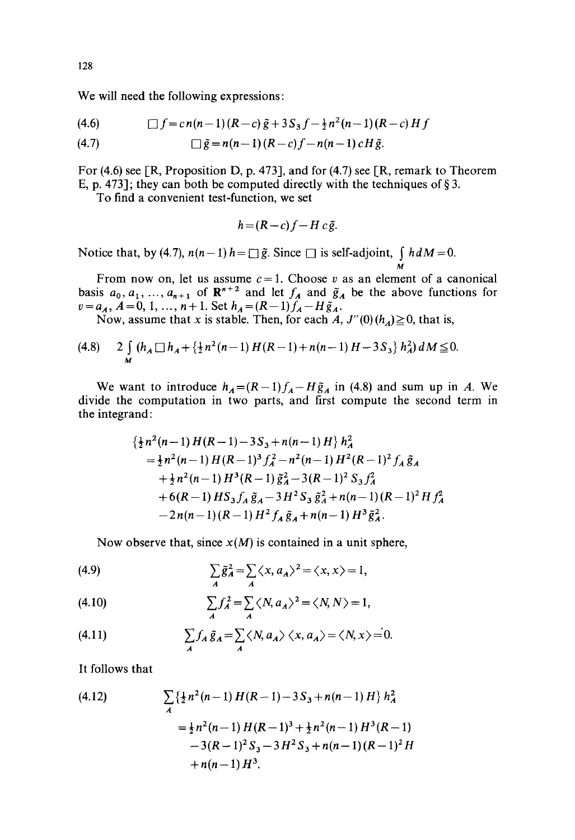We will need the following expressions:

$$
(4.6) \qquad \Box f = c n(n-1)(R-c) \tilde{g} + 3 S_3 f - \frac{1}{2} n^2 (n-1)(R-c) H f
$$

(4.7) 
$$
\Box \tilde{g} = n(n-1)(R-c)f - n(n-1)cH\tilde{g}.
$$

For (4.6) see [R, Proposition D, p. 473], and for (4.7) see [R, remark to Theorem E, p. 473]; they can both be computed directly with the techniques of  $\S 3$ .

To find a convenient test-function, we set

$$
h = (R - c)f - H c \tilde{g}.
$$

Notice that, by (4.7),  $n(n-1)$   $h = \Box \tilde{g}$ . Since  $\Box$  is self-adjoint,  $\int h dM = 0$ . M

From now on, let us assume  $c=1$ . Choose v as an element of a canonical basis  $a_0, a_1, ..., a_{n+1}$  of  $\mathbb{R}^{n+2}$  and let  $f_A$  and  $\tilde{g}_A$  be the above functions for  $v=a_A$ ,  $A=0, 1, ..., n+1$ . Set  $h_A=(R-1)f_A-H\tilde{g}_A$ .

Now, assume that x is stable. Then, for each  $A, J''(0)(h_A) \ge 0$ , that is,

$$
(4.8) \qquad 2\int\limits_{M} (h_A \Box h_A + \{\frac{1}{2}n^2(n-1) H(R-1) + n(n-1) H - 3S_3\} h_A^2) dM \leq 0.
$$

We want to introduce  $h_A = (R-1)f_A - H\tilde{g}_A$  in (4.8) and sum up in A. We divide the computation in two parts, and first compute the second term in the integrand:

$$
\begin{aligned}\n&\{\frac{1}{2}n^2(n-1)H(R-1)-3S_3+n(n-1)H\}h_A^2\\&=\frac{1}{2}n^2(n-1)H(R-1)^3f_A^2-n^2(n-1)H^2(R-1)^2f_A\tilde{g}_A\\&+\frac{1}{2}n^2(n-1)H^3(R-1)\tilde{g}_A^2-3(R-1)^2S_3f_A^2\\&+6(R-1)HS_3f_A\tilde{g}_A-3H^2S_3\tilde{g}_A^2+n(n-1)(R-1)^2Hf_A^2\\&-2n(n-1)(R-1)H^2f_A\tilde{g}_A+n(n-1)H^3\tilde{g}_A^2.\n\end{aligned}
$$

Now observe that, since  $x(M)$  is contained in a unit sphere,

(4.9) 
$$
\sum_{A} \tilde{g}_{A}^{2} = \sum_{A} \langle x, a_{A} \rangle^{2} = \langle x, x \rangle = 1,
$$

(4.10) 
$$
\sum_{A} f_A^2 = \sum_{A} \langle N, a_A \rangle^2 = \langle N, N \rangle = 1,
$$

(4.11) 
$$
\sum_{A} f_A \tilde{g}_A = \sum_{A} \langle N, a_A \rangle \langle x, a_A \rangle = \langle N, x \rangle = 0.
$$

It follows that

(4.12)  
\n
$$
\sum_{A} \{ \frac{1}{2} n^2 (n-1) H(R-1) - 3S_3 + n(n-1) H \} h_A^2
$$
\n
$$
= \frac{1}{2} n^2 (n-1) H(R-1)^3 + \frac{1}{2} n^2 (n-1) H^3(R-1)
$$
\n
$$
-3(R-1)^2 S_3 - 3 H^2 S_3 + n(n-1) (R-1)^2 H
$$
\n
$$
+ n(n-1) H^3.
$$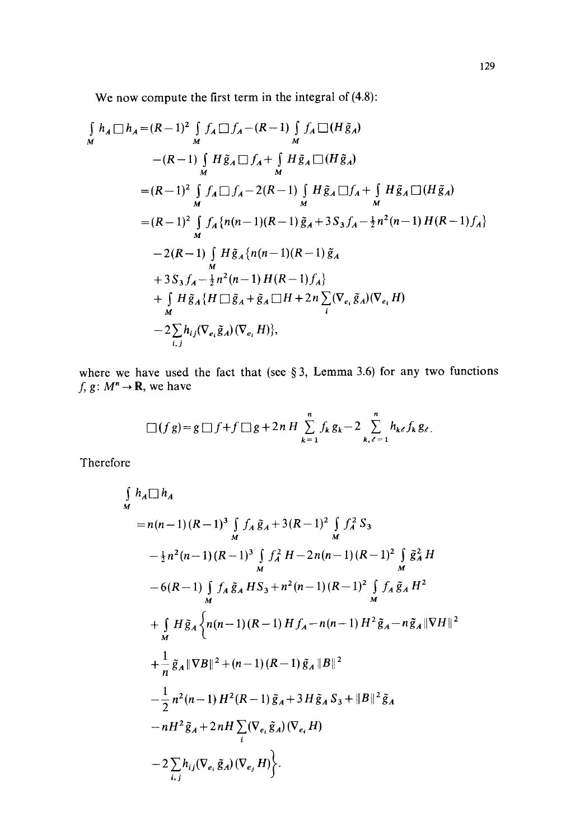We now compute the first term in the integral of  $(4.8)$ :

$$
\int_{M} h_{A} \Box h_{A} = (R-1)^{2} \int_{M} f_{A} \Box f_{A} - (R-1) \int_{M} f_{A} \Box (H \tilde{g}_{A})
$$
  
\n
$$
- (R-1) \int_{M} H \tilde{g}_{A} \Box f_{A} + \int_{M} H \tilde{g}_{A} \Box (H \tilde{g}_{A})
$$
  
\n
$$
= (R-1)^{2} \int_{M} f_{A} \Box f_{A} - 2(R-1) \int_{M} H \tilde{g}_{A} \Box f_{A} + \int_{M} H \tilde{g}_{A} \Box (H \tilde{g}_{A})
$$
  
\n
$$
= (R-1)^{2} \int_{M} f_{A} \{n(n-1)(R-1) \tilde{g}_{A} + 3S_{3} f_{A} - \frac{1}{2} n^{2} (n-1) H (R-1) f_{A}\}
$$
  
\n
$$
- 2(R-1) \int_{M} H \tilde{g}_{A} \{n(n-1)(R-1) \tilde{g}_{A}
$$
  
\n
$$
+ 3S_{3} f_{A} - \frac{1}{2} n^{2} (n-1) H (R-1) f_{A}\}
$$
  
\n
$$
+ \int_{M} H \tilde{g}_{A} \{H \Box \tilde{g}_{A} + \tilde{g}_{A} \Box H + 2n \sum_{i} (\nabla_{e_{i}} \tilde{g}_{A}) (\nabla_{e_{i}} H)
$$
  
\n
$$
- 2 \sum_{i,j} h_{ij} (\nabla_{e_{i}} \tilde{g}_{A}) (\nabla_{e_{i}} H)\},
$$

where we have used the fact that (see  $\S 3$ , Lemma 3.6) for any two functions  $f, g: M^n \to \mathbf{R}$ , we have

$$
\Box (fg) = g \Box f + f \Box g + 2n H \sum_{k=1}^{n} f_k g_k - 2 \sum_{k,\ell=1}^{n} h_{k\ell} f_k g_{\ell}.
$$

Therefore

$$
\int_{M} h_{A} \Box h_{A}
$$
\n= n(n-1)(R-1)<sup>3</sup>  $\int_{M} f_{A} \tilde{g}_{A} + 3(R-1)^{2} \int_{M} f_{A}^{2} S_{3}$   
\n $- \frac{1}{2}n^{2}(n-1)(R-1)^{3} \int_{M} f_{A}^{2} H - 2n(n-1)(R-1)^{2} \int_{M} \tilde{g}_{A}^{2} H$   
\n $- 6(R-1) \int_{M} f_{A} \tilde{g}_{A} H S_{3} + n^{2}(n-1)(R-1)^{2} \int_{M} f_{A} \tilde{g}_{A} H^{2}$   
\n $+ \int_{M} H \tilde{g}_{A} \Biggl\{ n(n-1)(R-1) H f_{A} - n(n-1) H^{2} \tilde{g}_{A} - n \tilde{g}_{A} ||\nabla H||^{2}$   
\n $+ \frac{1}{n} \tilde{g}_{A} ||\nabla B||^{2} + (n-1)(R-1) \tilde{g}_{A} ||B||^{2}$   
\n $- \frac{1}{2} n^{2}(n-1) H^{2}(R-1) \tilde{g}_{A} + 3 H \tilde{g}_{A} S_{3} + ||B||^{2} \tilde{g}_{A}$   
\n $- nH^{2} \tilde{g}_{A} + 2nH \sum_{i} (\nabla_{e_{i}} \tilde{g}_{A})(\nabla_{e_{i}} H)$   
\n $- 2 \sum_{i,j} h_{ij} (\nabla_{e_{i}} \tilde{g}_{A})(\nabla_{e_{j}} H) \Biggr\}.$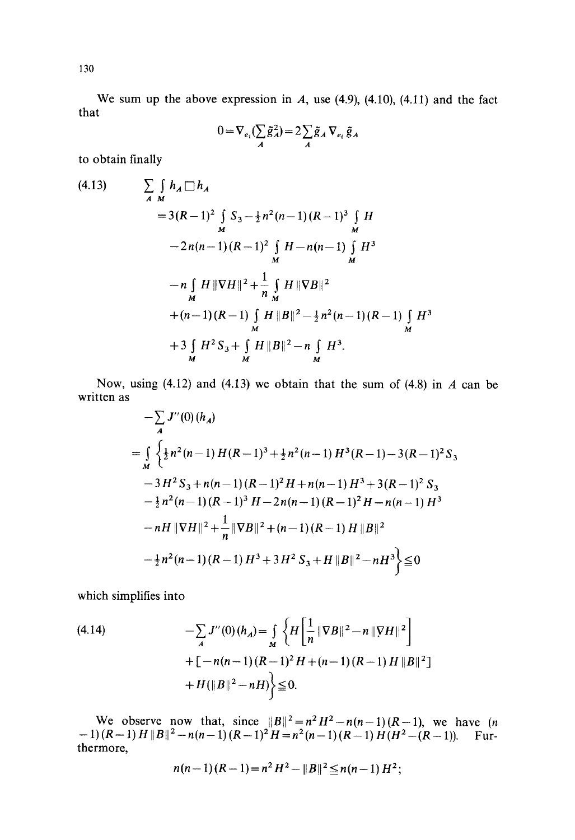We sum up the above expression in  $A$ , use (4.9), (4.10), (4.11) and the fact that

$$
0 = \nabla_{e_i} (\sum_A \tilde{g}_A^2) = 2 \sum_A \tilde{g}_A \nabla_{e_i} \tilde{g}_A
$$

to obtain finally

(4.13) 
$$
\sum_{A \ M} \int_{M} h_{A} \Box h_{A}
$$
  
\n
$$
= 3(R-1)^{2} \int_{M} S_{3} - \frac{1}{2}n^{2}(n-1)(R-1)^{3} \int_{M} H
$$
  
\n
$$
- 2n(n-1)(R-1)^{2} \int_{M} H - n(n-1) \int_{M} H^{3}
$$
  
\n
$$
- n \int_{M} H \Vert \nabla H \Vert^{2} + \frac{1}{n} \int_{M} H \Vert \nabla B \Vert^{2}
$$
  
\n
$$
+ (n-1)(R-1) \int_{M} H \Vert B \Vert^{2} - \frac{1}{2}n^{2}(n-1)(R-1) \int_{M} H^{3}
$$
  
\n
$$
+ 3 \int_{M} H^{2} S_{3} + \int_{M} H \Vert B \Vert^{2} - n \int_{M} H^{3}.
$$

Now, using (4.12) and (4.13) we obtain that the sum of (4.8) in  $A$  can be written as

$$
-\sum_{A} J''(0) (h_A)
$$
  
=  $\int_{M} \left\{ \frac{1}{2} n^2 (n-1) H (R-1)^3 + \frac{1}{2} n^2 (n-1) H^3 (R-1) - 3 (R-1)^2 S_3 \right\}$   
 $- 3 H^2 S_3 + n(n-1) (R-1)^2 H + n(n-1) H^3 + 3 (R-1)^2 S_3$   
 $- \frac{1}{2} n^2 (n-1) (R-1)^3 H - 2 n(n-1) (R-1)^2 H - n(n-1) H^3$   
 $- nH ||\nabla H||^2 + \frac{1}{n} ||\nabla B||^2 + (n-1) (R-1) H ||B||^2$   
 $- \frac{1}{2} n^2 (n-1) (R-1) H^3 + 3 H^2 S_3 + H ||B||^2 - n H^3 \right\} \le 0$ 

which simplifies into

(4.14) 
$$
- \sum_{A} J''(0) (h_A) = \int_{M} \left\{ H \left[ \frac{1}{n} \|\nabla B\|^2 - n \|\nabla H\|^2 \right] + \left[ -n(n-1)(R-1)^2 H + (n-1)(R-1) H \|B\|^2 \right] + H(\|B\|^2 - nH) \right\} \leq 0.
$$

observe now that, since  $||B||^2 = n^2H^2-n(n-1)(R-1)$ , we have (*n* Fur-We  $-1$ )(R-1) *H* ||B||<sup>2</sup> - *n*(*n*-1)(R-1)<sup>2</sup> *H* = *n*<sup>2</sup>(*n*-1)(R-1) *H*(*H*<sup>2</sup> - (R-1)). thermore,

$$
n(n-1)(R-1)=n^2H^2-\|B\|^2\leq n(n-1)H^2;
$$

130